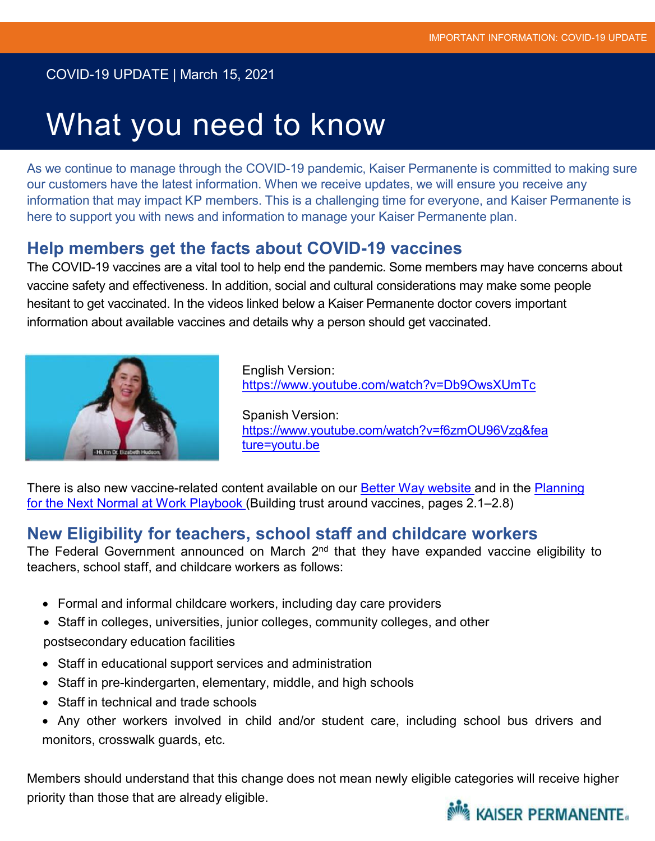#### COVID-19 UPDATE | March 15, 2021

## What you need to know

As we continue to manage through the COVID-19 pandemic, Kaiser Permanente is committed to making sure our customers have the latest information. When we receive updates, we will ensure you receive any information that may impact KP members. This is a challenging time for everyone, and Kaiser Permanente is here to support you with news and information to manage your Kaiser Permanente plan.

#### **Help members get the facts about COVID-19 vaccines**

The COVID-19 vaccines are a vital tool to help end the pandemic. Some members may have concerns about vaccine safety and effectiveness. In addition, social and cultural considerations may make some people hesitant to get vaccinated. In the videos linked below a Kaiser Permanente doctor covers important information about available vaccines and details why a person should get vaccinated.



English Version: https://www.youtube.com/watch?v=Db9OwsXUmTc

Spanish Version: https://www.youtube.com/watch?v=f6zmOU96Vzg&fea ture=youtu.be

[There is also new vaccine-related content available on our Better Way website and in the Planning](https://business.kaiserpermanente.org/thrive/resource-center/covid-19-return-to-work-playbook) for the Next Normal at Work Playbook (Building trust around vaccines, pages 2.1–2.8)

### **New Eligibility for teachers, school staff and childcare workers**

The Federal Government announced on March 2<sup>nd</sup> that they have expanded vaccine eligibility to teachers, school staff, and childcare workers as follows:

- Formal and informal childcare workers, including day care providers
- Staff in colleges, universities, junior colleges, community colleges, and other postsecondary education facilities
- Staff in educational support services and administration
- Staff in pre-kindergarten, elementary, middle, and high schools
- Staff in technical and trade schools
- Any other workers involved in child and/or student care, including school bus drivers and monitors, crosswalk guards, etc.

Members should understand that this change does not mean newly eligible categories will receive higher priority than those that are already eligible.